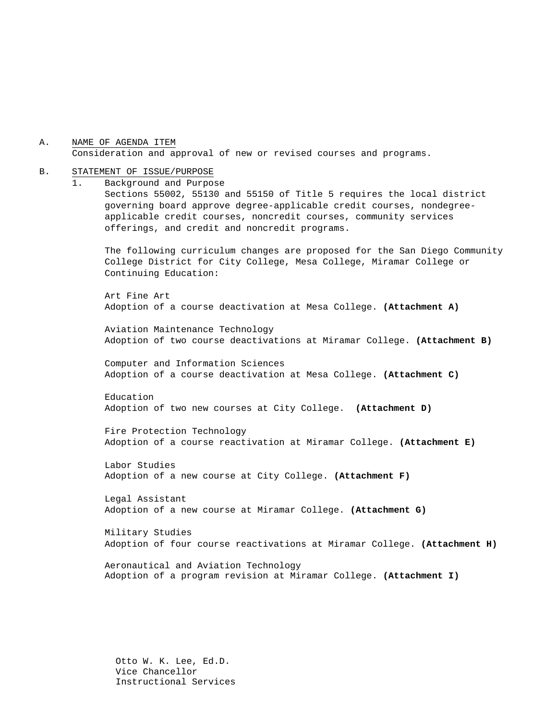A. NAME OF AGENDA ITEM Consideration and approval of new or revised courses and programs.

#### B. STATEMENT OF ISSUE/PURPOSE

1. Background and Purpose

Sections 55002, 55130 and 55150 of Title 5 requires the local district governing board approve degree-applicable credit courses, nondegreeapplicable credit courses, noncredit courses, community services offerings, and credit and noncredit programs.

The following curriculum changes are proposed for the San Diego Community College District for City College, Mesa College, Miramar College or Continuing Education:

Art Fine Art Adoption of a course deactivation at Mesa College. **(Attachment A)**

Aviation Maintenance Technology Adoption of two course deactivations at Miramar College. **(Attachment B)**

Computer and Information Sciences Adoption of a course deactivation at Mesa College. **(Attachment C)**

Education Adoption of two new courses at City College. **(Attachment D)**

Fire Protection Technology Adoption of a course reactivation at Miramar College. **(Attachment E)**

Labor Studies Adoption of a new course at City College. **(Attachment F)**

Legal Assistant Adoption of a new course at Miramar College. **(Attachment G)**

Military Studies Adoption of four course reactivations at Miramar College. **(Attachment H)**

Aeronautical and Aviation Technology Adoption of a program revision at Miramar College. **(Attachment I)**

Otto W. K. Lee, Ed.D. Vice Chancellor Instructional Services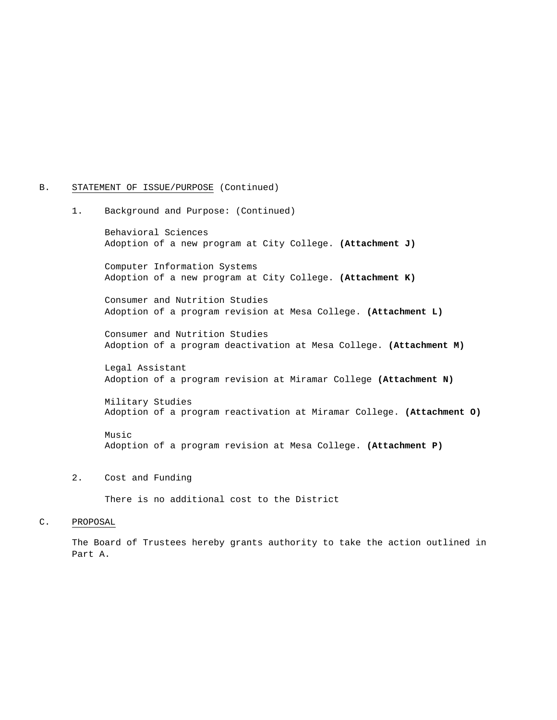#### B. STATEMENT OF ISSUE/PURPOSE (Continued)

1. Background and Purpose: (Continued)

Behavioral Sciences Adoption of a new program at City College. **(Attachment J)**

Computer Information Systems Adoption of a new program at City College. **(Attachment K)**

Consumer and Nutrition Studies Adoption of a program revision at Mesa College. **(Attachment L)**

Consumer and Nutrition Studies Adoption of a program deactivation at Mesa College. **(Attachment M)**

Legal Assistant Adoption of a program revision at Miramar College **(Attachment N)**

Military Studies Adoption of a program reactivation at Miramar College. **(Attachment O)**

Music Adoption of a program revision at Mesa College. **(Attachment P)**

2. Cost and Funding

There is no additional cost to the District

#### C. PROPOSAL

The Board of Trustees hereby grants authority to take the action outlined in Part A.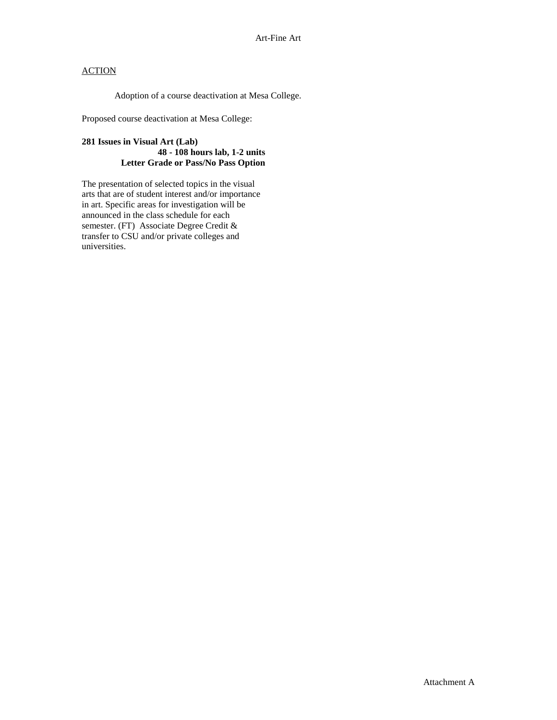Adoption of a course deactivation at Mesa College.

Proposed course deactivation at Mesa College:

### **281 Issues in Visual Art (Lab) 48 - 108 hours lab, 1-2 units Letter Grade or Pass/No Pass Option**

The presentation of selected topics in the visual arts that are of student interest and/or importance in art. Specific areas for investigation will be announced in the class schedule for each semester. (FT) Associate Degree Credit & transfer to CSU and/or private colleges and universities.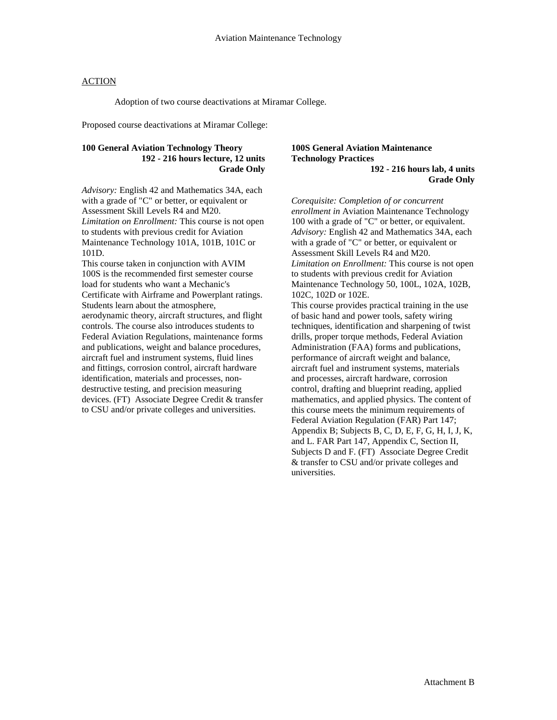Adoption of two course deactivations at Miramar College.

Proposed course deactivations at Miramar College:

#### **100 General Aviation Technology Theory 192 - 216 hours lecture, 12 units Grade Only**

*Advisory:* English 42 and Mathematics 34A, each with a grade of "C" or better, or equivalent or Assessment Skill Levels R4 and M20. *Limitation on Enrollment:* This course is not open to students with previous credit for Aviation Maintenance Technology 101A, 101B, 101C or 101D.

This course taken in conjunction with AVIM 100S is the recommended first semester course load for students who want a Mechanic's Certificate with Airframe and Powerplant ratings. Students learn about the atmosphere, aerodynamic theory, aircraft structures, and flight controls. The course also introduces students to Federal Aviation Regulations, maintenance forms and publications, weight and balance procedures, aircraft fuel and instrument systems, fluid lines and fittings, corrosion control, aircraft hardware identification, materials and processes, nondestructive testing, and precision measuring devices. (FT) Associate Degree Credit & transfer to CSU and/or private colleges and universities.

#### **100S General Aviation Maintenance Technology Practices 192 - 216 hours lab, 4 units**

**Grade Only** 

*Corequisite: Completion of or concurrent enrollment in* Aviation Maintenance Technology 100 with a grade of "C" or better, or equivalent. *Advisory:* English 42 and Mathematics 34A, each with a grade of "C" or better, or equivalent or Assessment Skill Levels R4 and M20. *Limitation on Enrollment:* This course is not open to students with previous credit for Aviation Maintenance Technology 50, 100L, 102A, 102B, 102C, 102D or 102E.

This course provides practical training in the use of basic hand and power tools, safety wiring techniques, identification and sharpening of twist drills, proper torque methods, Federal Aviation Administration (FAA) forms and publications, performance of aircraft weight and balance, aircraft fuel and instrument systems, materials and processes, aircraft hardware, corrosion control, drafting and blueprint reading, applied mathematics, and applied physics. The content of this course meets the minimum requirements of Federal Aviation Regulation (FAR) Part 147; Appendix B; Subjects B, C, D, E, F, G, H, I, J, K, and L. FAR Part 147, Appendix C, Section II, Subjects D and F. (FT) Associate Degree Credit & transfer to CSU and/or private colleges and universities.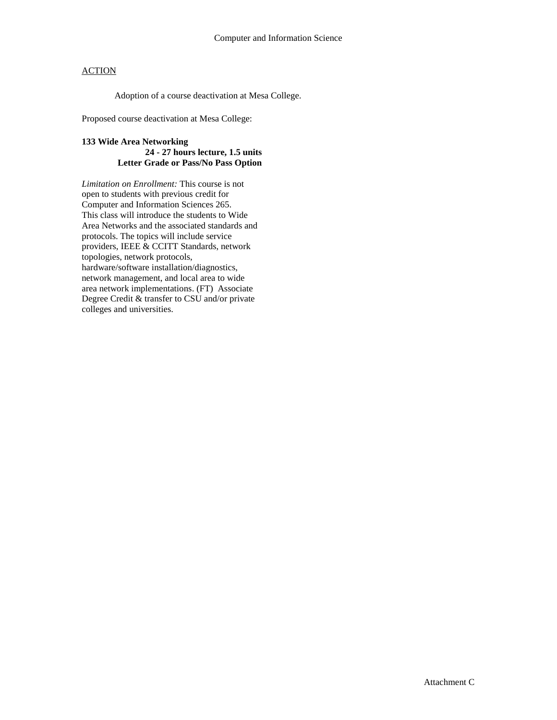Adoption of a course deactivation at Mesa College.

Proposed course deactivation at Mesa College:

### **133 Wide Area Networking 24 - 27 hours lecture, 1.5 units Letter Grade or Pass/No Pass Option**

*Limitation on Enrollment:* This course is not open to students with previous credit for Computer and Information Sciences 265. This class will introduce the students to Wide Area Networks and the associated standards and protocols. The topics will include service providers, IEEE & CCITT Standards, network topologies, network protocols, hardware/software installation/diagnostics, network management, and local area to wide area network implementations. (FT) Associate Degree Credit & transfer to CSU and/or private colleges and universities.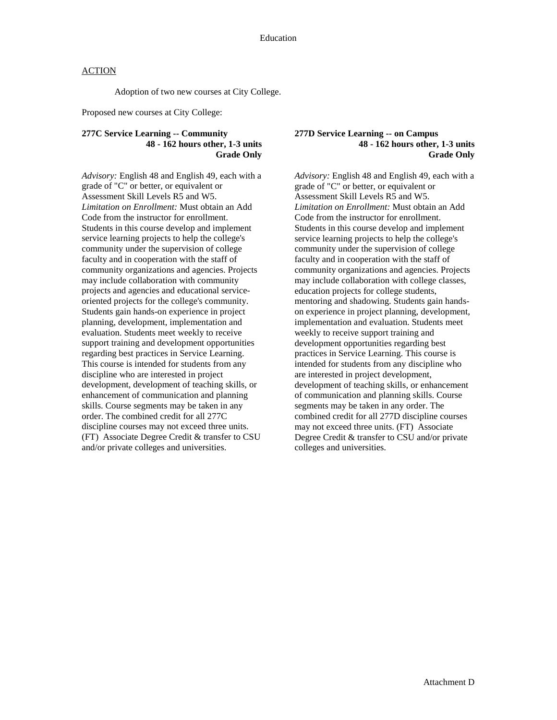Adoption of two new courses at City College.

Proposed new courses at City College:

#### **277C Service Learning -- Community 48 - 162 hours other, 1-3 units Grade Only**

*Advisory:* English 48 and English 49, each with a grade of "C" or better, or equivalent or Assessment Skill Levels R5 and W5. *Limitation on Enrollment:* Must obtain an Add Code from the instructor for enrollment. Students in this course develop and implement service learning projects to help the college's community under the supervision of college faculty and in cooperation with the staff of community organizations and agencies. Projects may include collaboration with community projects and agencies and educational serviceoriented projects for the college's community. Students gain hands-on experience in project planning, development, implementation and evaluation. Students meet weekly to receive support training and development opportunities regarding best practices in Service Learning. This course is intended for students from any discipline who are interested in project development, development of teaching skills, or enhancement of communication and planning skills. Course segments may be taken in any order. The combined credit for all 277C discipline courses may not exceed three units. (FT) Associate Degree Credit & transfer to CSU and/or private colleges and universities.

#### **277D Service Learning -- on Campus 48 - 162 hours other, 1-3 units Grade Only**

*Advisory:* English 48 and English 49, each with a grade of "C" or better, or equivalent or Assessment Skill Levels R5 and W5. *Limitation on Enrollment:* Must obtain an Add Code from the instructor for enrollment. Students in this course develop and implement service learning projects to help the college's community under the supervision of college faculty and in cooperation with the staff of community organizations and agencies. Projects may include collaboration with college classes, education projects for college students, mentoring and shadowing. Students gain handson experience in project planning, development, implementation and evaluation. Students meet weekly to receive support training and development opportunities regarding best practices in Service Learning. This course is intended for students from any discipline who are interested in project development, development of teaching skills, or enhancement of communication and planning skills. Course segments may be taken in any order. The combined credit for all 277D discipline courses may not exceed three units. (FT) Associate Degree Credit & transfer to CSU and/or private colleges and universities.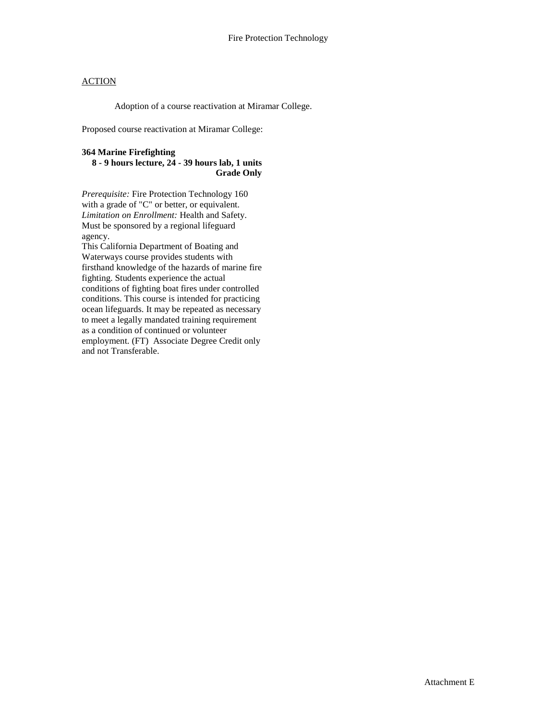Adoption of a course reactivation at Miramar College.

Proposed course reactivation at Miramar College:

### **364 Marine Firefighting**

**8 - 9 hours lecture, 24 - 39 hours lab, 1 units Grade Only** 

*Prerequisite:* Fire Protection Technology 160 with a grade of "C" or better, or equivalent. *Limitation on Enrollment:* Health and Safety. Must be sponsored by a regional lifeguard agency.

This California Department of Boating and Waterways course provides students with firsthand knowledge of the hazards of marine fire fighting. Students experience the actual conditions of fighting boat fires under controlled conditions. This course is intended for practicing ocean lifeguards. It may be repeated as necessary to meet a legally mandated training requirement as a condition of continued or volunteer employment. (FT) Associate Degree Credit only and not Transferable.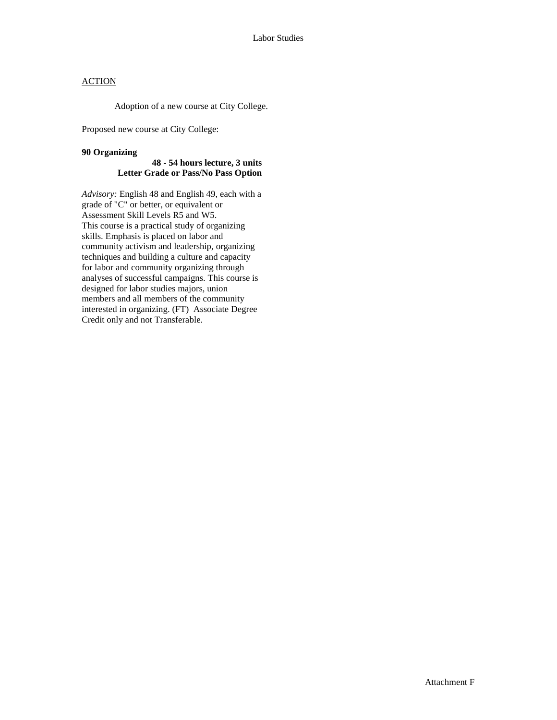Adoption of a new course at City College.

Proposed new course at City College:

#### **90 Organizing**

#### **48 - 54 hours lecture, 3 units Letter Grade or Pass/No Pass Option**

*Advisory:* English 48 and English 49, each with a grade of "C" or better, or equivalent or Assessment Skill Levels R5 and W5. This course is a practical study of organizing skills. Emphasis is placed on labor and community activism and leadership, organizing techniques and building a culture and capacity for labor and community organizing through analyses of successful campaigns. This course is designed for labor studies majors, union members and all members of the community interested in organizing. (FT) Associate Degree Credit only and not Transferable.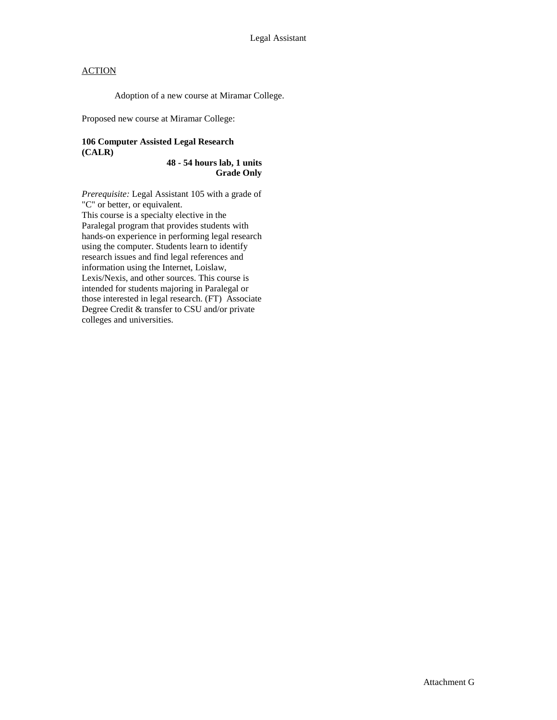Adoption of a new course at Miramar College.

Proposed new course at Miramar College:

### **106 Computer Assisted Legal Research (CALR)**

**48 - 54 hours lab, 1 units Grade Only** 

*Prerequisite:* Legal Assistant 105 with a grade of "C" or better, or equivalent. This course is a specialty elective in the Paralegal program that provides students with hands-on experience in performing legal research using the computer. Students learn to identify research issues and find legal references and information using the Internet, Loislaw, Lexis/Nexis, and other sources. This course is intended for students majoring in Paralegal or those interested in legal research. (FT) Associate Degree Credit & transfer to CSU and/or private colleges and universities.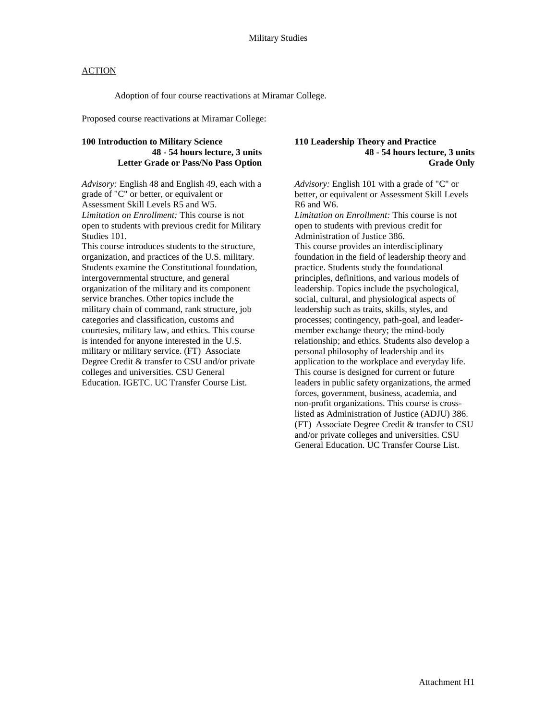Adoption of four course reactivations at Miramar College.

Proposed course reactivations at Miramar College:

### **100 Introduction to Military Science 48 - 54 hours lecture, 3 units Letter Grade or Pass/No Pass Option**

*Advisory:* English 48 and English 49, each with a grade of "C" or better, or equivalent or Assessment Skill Levels R5 and W5. *Limitation on Enrollment:* This course is not open to students with previous credit for Military Studies 101.

This course introduces students to the structure, organization, and practices of the U.S. military. Students examine the Constitutional foundation, intergovernmental structure, and general organization of the military and its component service branches. Other topics include the military chain of command, rank structure, job categories and classification, customs and courtesies, military law, and ethics. This course is intended for anyone interested in the U.S. military or military service. (FT) Associate Degree Credit & transfer to CSU and/or private colleges and universities. CSU General Education. IGETC. UC Transfer Course List.

**110 Leadership Theory and Practice 48 - 54 hours lecture, 3 units Grade Only** 

*Advisory:* English 101 with a grade of "C" or better, or equivalent or Assessment Skill Levels R6 and W6.

*Limitation on Enrollment:* This course is not open to students with previous credit for Administration of Justice 386. This course provides an interdisciplinary foundation in the field of leadership theory and practice. Students study the foundational principles, definitions, and various models of leadership. Topics include the psychological, social, cultural, and physiological aspects of leadership such as traits, skills, styles, and processes; contingency, path-goal, and leadermember exchange theory; the mind-body relationship; and ethics. Students also develop a personal philosophy of leadership and its application to the workplace and everyday life. This course is designed for current or future leaders in public safety organizations, the armed forces, government, business, academia, and non-profit organizations. This course is crosslisted as Administration of Justice (ADJU) 386. (FT) Associate Degree Credit & transfer to CSU and/or private colleges and universities. CSU General Education. UC Transfer Course List.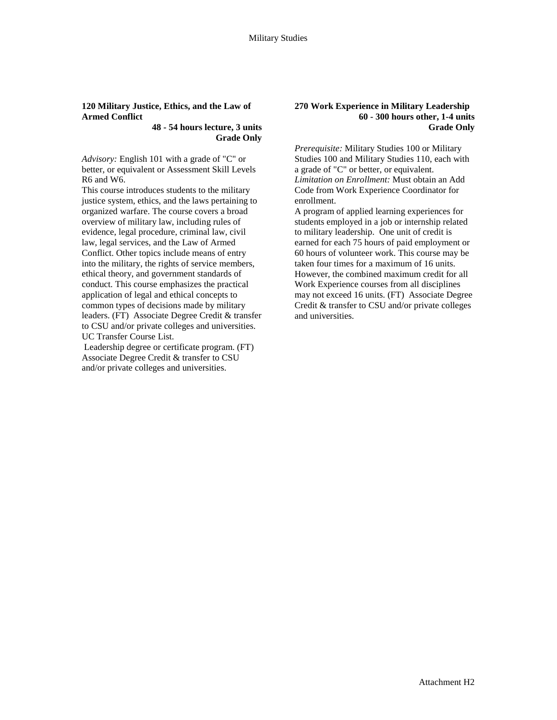#### **120 Military Justice, Ethics, and the Law of Armed Conflict**

**48 - 54 hours lecture, 3 units Grade Only** 

*Advisory:* English 101 with a grade of "C" or better, or equivalent or Assessment Skill Levels R6 and W6.

This course introduces students to the military justice system, ethics, and the laws pertaining to organized warfare. The course covers a broad overview of military law, including rules of evidence, legal procedure, criminal law, civil law, legal services, and the Law of Armed Conflict. Other topics include means of entry into the military, the rights of service members, ethical theory, and government standards of conduct. This course emphasizes the practical application of legal and ethical concepts to common types of decisions made by military leaders. (FT) Associate Degree Credit & transfer to CSU and/or private colleges and universities. UC Transfer Course List.

Leadership degree or certificate program. (FT) Associate Degree Credit & transfer to CSU and/or private colleges and universities.

#### **270 Work Experience in Military Leadership 60 - 300 hours other, 1-4 units Grade Only**

*Prerequisite:* Military Studies 100 or Military Studies 100 and Military Studies 110, each with a grade of "C" or better, or equivalent. *Limitation on Enrollment:* Must obtain an Add Code from Work Experience Coordinator for enrollment.

A program of applied learning experiences for students employed in a job or internship related to military leadership. One unit of credit is earned for each 75 hours of paid employment or 60 hours of volunteer work. This course may be taken four times for a maximum of 16 units. However, the combined maximum credit for all Work Experience courses from all disciplines may not exceed 16 units. (FT) Associate Degree Credit & transfer to CSU and/or private colleges and universities.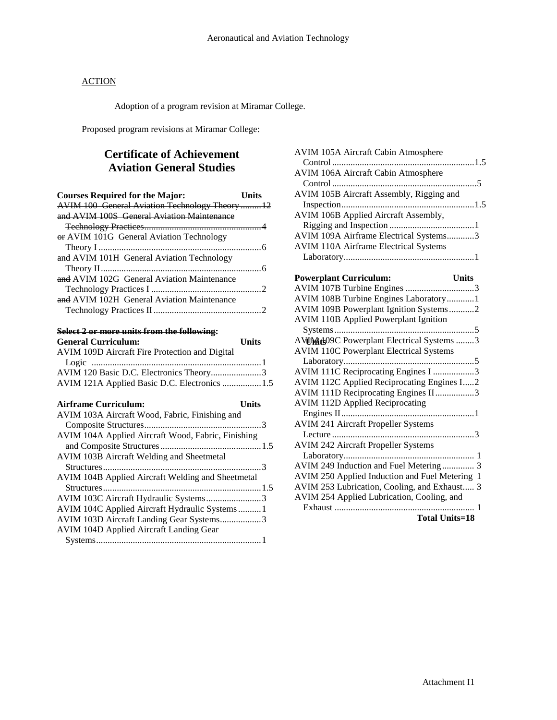Adoption of a program revision at Miramar College.

Proposed program revisions at Miramar College:

# **Certificate of Achievement Aviation General Studies**

| <b>Courses Required for the Major:</b><br><b>Units</b> | AVIM 1            |
|--------------------------------------------------------|-------------------|
| <b>AVIM 100 General Aviation Technology Theory 12</b>  | Inspec            |
| and AVIM 100S General Aviation Maintenance             | AVIM 1            |
|                                                        | Riggir            |
| or AVIM 101G General Aviation Technology               | <b>AVIM</b> 1     |
|                                                        | AVIM 1            |
| and AVIM 101H General Aviation Technology              | Labora            |
|                                                        |                   |
| and AVIM 102G General Aviation Maintenance             | Powerpl           |
|                                                        | AVIM 1            |
| and AVIM 102H General Aviation Maintenance             | AVIM 1            |
|                                                        | <b>AVIM</b> 1     |
|                                                        | AVIM 1            |
| Select 2 or more units from the following:             | Systen            |
| <b>General Curriculum:</b><br><b>Units</b>             | <b>AVUMits</b>    |
| AVIM 109D Aircraft Fire Protection and Digital         | AVIM 1            |
|                                                        | Labora            |
| AVIM 120 Basic D.C. Electronics Theory3                | AVIM 1            |
| AVIM 121A Applied Basic D.C. Electronics  1.5          | AVIM 1            |
|                                                        | AVIM 1            |
| <b>Airframe Curriculum:</b><br><b>Units</b>            | AVIM 1            |
| AVIM 103A Aircraft Wood, Fabric, Finishing and         | Engine            |
|                                                        | AVIM <sub>2</sub> |
| AVIM 104A Applied Aircraft Wood, Fabric, Finishing     | Lectur            |
|                                                        | AVIM <sub>2</sub> |
| AVIM 103B Aircraft Welding and Sheetmetal              | Labora            |
|                                                        | AVIM 2            |
| AVIM 104B Applied Aircraft Welding and Sheetmetal      | AVIM <sub>2</sub> |
|                                                        | AVIM <sub>2</sub> |
| AVIM 103C Aircraft Hydraulic Systems3                  | AVIM <sub>2</sub> |
| AVIM 104C Applied Aircraft Hydraulic Systems  1        | Exhau             |
| AVIM 103D Aircraft Landing Gear Systems3               |                   |
| <b>AVIM 104D Applied Aircraft Landing Gear</b>         |                   |
|                                                        |                   |

| <b>AVIM 105A Aircraft Cabin Atmosphere</b>     |
|------------------------------------------------|
|                                                |
| AVIM 106A Aircraft Cabin Atmosphere            |
|                                                |
| AVIM 105B Aircraft Assembly, Rigging and       |
|                                                |
| AVIM 106B Applied Aircraft Assembly,           |
|                                                |
| AVIM 109A Airframe Electrical Systems3         |
| <b>AVIM 110A Airframe Electrical Systems</b>   |
|                                                |
|                                                |
| <b>Powerplant Curriculum:</b><br><b>Units</b>  |
| AVIM 107B Turbine Engines 3                    |
| AVIM 108B Turbine Engines Laboratory1          |
| AVIM 109B Powerplant Ignition Systems2         |
| <b>AVIM 110B Applied Powerplant Ignition</b>   |
|                                                |
| AVIMto 9C Powerplant Electrical Systems 3      |
| <b>AVIM 110C Powerplant Electrical Systems</b> |
|                                                |
| AVIM 111C Reciprocating Engines I 3            |
| AVIM 112C Applied Reciprocating Engines I2     |
| AVIM 111D Reciprocating Engines II3            |
| <b>AVIM 112D Applied Reciprocating</b>         |
|                                                |
| <b>AVIM 241 Aircraft Propeller Systems</b>     |
|                                                |
| <b>AVIM 242 Aircraft Propeller Systems</b>     |
|                                                |
| AVIM 249 Induction and Fuel Metering 3         |
| AVIM 250 Applied Induction and Fuel Metering 1 |

AVIM 253 Lubrication, Cooling, and Exhaust..... 3 AVIM 254 Applied Lubrication, Cooling, and

Exhaust ............................................................. 1 **Total Units=18**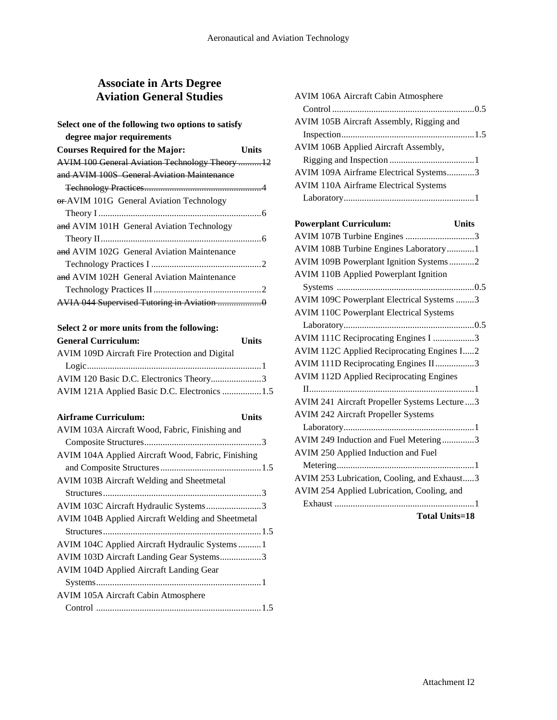### **Associate in Arts Degree Aviation General Studies**

| Select one of the following two options to satisfy    |       |
|-------------------------------------------------------|-------|
| degree major requirements                             |       |
| <b>Courses Required for the Major:</b>                | Units |
| <b>AVIM 100 General Aviation Technology Theory 12</b> |       |
| and AVIM 100S General Aviation Maintenance            |       |
|                                                       |       |
| or-AVIM 101G General Aviation Technology              |       |
|                                                       |       |
| and AVIM 101H General Aviation Technology             |       |
|                                                       |       |
| and AVIM 102G General Aviation Maintenance            |       |
|                                                       |       |
| and AVIM 102H General Aviation Maintenance            |       |
|                                                       |       |
|                                                       |       |
|                                                       |       |

### **Select 2 or more units from the following:**

| <b>General Curriculum:</b>                     | <b>Units</b> |
|------------------------------------------------|--------------|
| AVIM 109D Aircraft Fire Protection and Digital |              |
|                                                |              |
| AVIM 120 Basic D.C. Electronics Theory3        |              |
| AVIM 121A Applied Basic D.C. Electronics 1.5   |              |

### **Airframe Curriculum: Units**

| AVIM 103A Aircraft Wood, Fabric, Finishing and     |  |
|----------------------------------------------------|--|
|                                                    |  |
| AVIM 104A Applied Aircraft Wood, Fabric, Finishing |  |
|                                                    |  |
| AVIM 103B Aircraft Welding and Sheetmetal          |  |
|                                                    |  |
|                                                    |  |
| AVIM 104B Applied Aircraft Welding and Sheetmetal  |  |
|                                                    |  |
| AVIM 104C Applied Aircraft Hydraulic Systems1      |  |
| AVIM 103D Aircraft Landing Gear Systems3           |  |
| AVIM 104D Applied Aircraft Landing Gear            |  |
|                                                    |  |
| AVIM 105A Aircraft Cabin Atmosphere                |  |
|                                                    |  |
|                                                    |  |

| AVIM 106A Aircraft Cabin Atmosphere          |       |
|----------------------------------------------|-------|
|                                              |       |
| AVIM 105B Aircraft Assembly, Rigging and     |       |
|                                              |       |
| AVIM 106B Applied Aircraft Assembly,         |       |
|                                              |       |
| AVIM 109A Airframe Electrical Systems3       |       |
| <b>AVIM 110A Airframe Electrical Systems</b> |       |
|                                              |       |
|                                              |       |
| <b>Powerplant Curriculum:</b>                | Units |
| _ _ _ _ _ _ _ _                              |       |

| Powerpiant Curriculum:                         | – UNIUS |
|------------------------------------------------|---------|
| AVIM 107B Turbine Engines 3                    |         |
| AVIM 108B Turbine Engines Laboratory1          |         |
| AVIM 109B Powerplant Ignition Systems2         |         |
| <b>AVIM 110B Applied Powerplant Ignition</b>   |         |
|                                                |         |
| AVIM 109C Powerplant Electrical Systems 3      |         |
| <b>AVIM 110C Powerplant Electrical Systems</b> |         |
|                                                |         |
| AVIM 111C Reciprocating Engines I 3            |         |
| AVIM 112C Applied Reciprocating Engines I2     |         |
| AVIM 111D Reciprocating Engines II3            |         |
| <b>AVIM 112D Applied Reciprocating Engines</b> |         |
|                                                |         |
| AVIM 241 Aircraft Propeller Systems Lecture3   |         |
| <b>AVIM 242 Aircraft Propeller Systems</b>     |         |
|                                                |         |
| AVIM 249 Induction and Fuel Metering3          |         |
| AVIM 250 Applied Induction and Fuel            |         |
|                                                |         |
| AVIM 253 Lubrication, Cooling, and Exhaust3    |         |
| AVIM 254 Applied Lubrication, Cooling, and     |         |
|                                                |         |
| <b>Total Units=18</b>                          |         |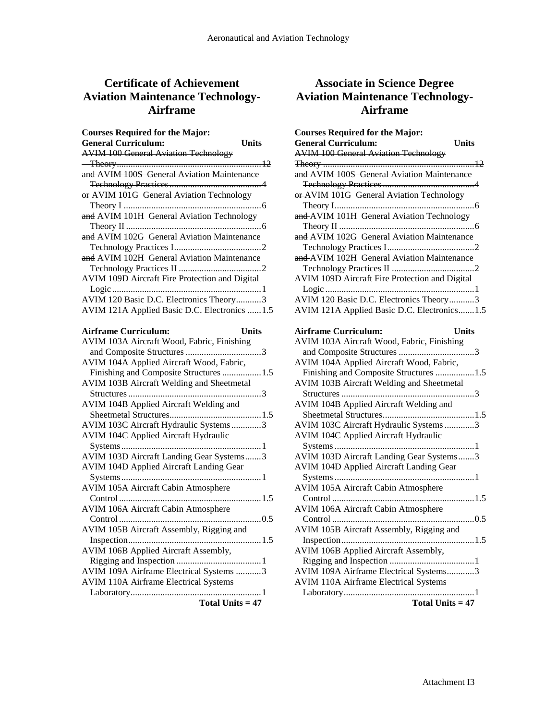### **Certificate of Achievement Aviation Maintenance Technology-Airframe**

| <b>Courses Required for the Major:</b><br><b>General Curriculum:</b><br><b>AVIM 100 General Aviation Technology</b> | <b>Units</b> |
|---------------------------------------------------------------------------------------------------------------------|--------------|
|                                                                                                                     |              |
| and AVIM 100S General Aviation Maintenance                                                                          |              |
|                                                                                                                     |              |
| or AVIM 101G General Aviation Technology                                                                            |              |
|                                                                                                                     |              |
| and AVIM 101H General Aviation Technology                                                                           |              |
|                                                                                                                     |              |
| and AVIM 102G General Aviation Maintenance                                                                          |              |
|                                                                                                                     |              |
| and AVIM 102H General Aviation Maintenance                                                                          |              |
|                                                                                                                     |              |
| AVIM 109D Aircraft Fire Protection and Digital                                                                      |              |
|                                                                                                                     |              |
| AVIM 120 Basic D.C. Electronics Theory3                                                                             |              |
| AVIM 121A Applied Basic D.C. Electronics  1.5                                                                       |              |
|                                                                                                                     |              |
| <b>Airframe Curriculum:</b>                                                                                         | Units        |
| AVIM 103A Aircraft Wood, Fabric, Finishing                                                                          |              |
|                                                                                                                     |              |
| AVIM 104A Applied Aircraft Wood, Fabric,                                                                            |              |
| Finishing and Composite Structures  1.5                                                                             |              |
| AVIM 103B Aircraft Welding and Sheetmetal                                                                           |              |
|                                                                                                                     |              |
| AVIM 104B Applied Aircraft Welding and                                                                              |              |
|                                                                                                                     |              |
| AVIM 103C Aircraft Hydraulic Systems3                                                                               |              |
| AVIM 104C Applied Aircraft Hydraulic                                                                                |              |
|                                                                                                                     |              |
| AVIM 103D Aircraft Landing Gear Systems3                                                                            |              |
| AVIM 104D Applied Aircraft Landing Gear                                                                             |              |
|                                                                                                                     |              |
| AVIM 105A Aircraft Cabin Atmosphere                                                                                 |              |
|                                                                                                                     |              |
| <b>AVIM 106A Aircraft Cabin Atmosphere</b>                                                                          |              |
|                                                                                                                     |              |
| AVIM 105B Aircraft Assembly, Rigging and                                                                            |              |
|                                                                                                                     |              |
| AVIM 106B Applied Aircraft Assembly,                                                                                |              |
|                                                                                                                     |              |
| AVIM 109A Airframe Electrical Systems 3                                                                             |              |
| <b>AVIM 110A Airframe Electrical Systems</b>                                                                        |              |
|                                                                                                                     |              |
| Total Units $= 47$                                                                                                  |              |

### **Associate in Science Degree Aviation Maintenance Technology-Airframe**

| <b>General Curriculum:</b><br><b>Units</b><br><b>AVIM 100 General Aviation Technology</b><br>and AVIM 100S General Aviation Maintenance<br>or-AVIM 101G General Aviation Technology<br>and-AVIM 101H General Aviation Technology<br>and AVIM 102G General Aviation Maintenance<br>and-AVIM 102H General Aviation Maintenance<br>AVIM 109D Aircraft Fire Protection and Digital<br>AVIM 120 Basic D.C. Electronics Theory3<br>AVIM 121A Applied Basic D.C. Electronics1.5 |
|--------------------------------------------------------------------------------------------------------------------------------------------------------------------------------------------------------------------------------------------------------------------------------------------------------------------------------------------------------------------------------------------------------------------------------------------------------------------------|
|                                                                                                                                                                                                                                                                                                                                                                                                                                                                          |
|                                                                                                                                                                                                                                                                                                                                                                                                                                                                          |
|                                                                                                                                                                                                                                                                                                                                                                                                                                                                          |
|                                                                                                                                                                                                                                                                                                                                                                                                                                                                          |
|                                                                                                                                                                                                                                                                                                                                                                                                                                                                          |
|                                                                                                                                                                                                                                                                                                                                                                                                                                                                          |
|                                                                                                                                                                                                                                                                                                                                                                                                                                                                          |
|                                                                                                                                                                                                                                                                                                                                                                                                                                                                          |
|                                                                                                                                                                                                                                                                                                                                                                                                                                                                          |
|                                                                                                                                                                                                                                                                                                                                                                                                                                                                          |
|                                                                                                                                                                                                                                                                                                                                                                                                                                                                          |
|                                                                                                                                                                                                                                                                                                                                                                                                                                                                          |
|                                                                                                                                                                                                                                                                                                                                                                                                                                                                          |
|                                                                                                                                                                                                                                                                                                                                                                                                                                                                          |
|                                                                                                                                                                                                                                                                                                                                                                                                                                                                          |
|                                                                                                                                                                                                                                                                                                                                                                                                                                                                          |
| <b>Airframe Curriculum:</b><br>Units                                                                                                                                                                                                                                                                                                                                                                                                                                     |
| AVIM 103A Aircraft Wood, Fabric, Finishing                                                                                                                                                                                                                                                                                                                                                                                                                               |
| and Composite Structures 3                                                                                                                                                                                                                                                                                                                                                                                                                                               |
| AVIM 104A Applied Aircraft Wood, Fabric,                                                                                                                                                                                                                                                                                                                                                                                                                                 |
| Finishing and Composite Structures 1.5                                                                                                                                                                                                                                                                                                                                                                                                                                   |
| AVIM 103B Aircraft Welding and Sheetmetal                                                                                                                                                                                                                                                                                                                                                                                                                                |
|                                                                                                                                                                                                                                                                                                                                                                                                                                                                          |
| AVIM 104B Applied Aircraft Welding and                                                                                                                                                                                                                                                                                                                                                                                                                                   |
|                                                                                                                                                                                                                                                                                                                                                                                                                                                                          |
| AVIM 103C Aircraft Hydraulic Systems3                                                                                                                                                                                                                                                                                                                                                                                                                                    |
| <b>AVIM 104C Applied Aircraft Hydraulic</b>                                                                                                                                                                                                                                                                                                                                                                                                                              |
|                                                                                                                                                                                                                                                                                                                                                                                                                                                                          |
| AVIM 103D Aircraft Landing Gear Systems3                                                                                                                                                                                                                                                                                                                                                                                                                                 |
| <b>AVIM 104D Applied Aircraft Landing Gear</b>                                                                                                                                                                                                                                                                                                                                                                                                                           |
| <b>AVIM 105A Aircraft Cabin Atmosphere</b>                                                                                                                                                                                                                                                                                                                                                                                                                               |
|                                                                                                                                                                                                                                                                                                                                                                                                                                                                          |
| <b>AVIM 106A Aircraft Cabin Atmosphere</b>                                                                                                                                                                                                                                                                                                                                                                                                                               |
|                                                                                                                                                                                                                                                                                                                                                                                                                                                                          |
| AVIM 105B Aircraft Assembly, Rigging and                                                                                                                                                                                                                                                                                                                                                                                                                                 |
|                                                                                                                                                                                                                                                                                                                                                                                                                                                                          |
| AVIM 106B Applied Aircraft Assembly,                                                                                                                                                                                                                                                                                                                                                                                                                                     |
|                                                                                                                                                                                                                                                                                                                                                                                                                                                                          |

Laboratory.........................................................1 **Total Units = 47**

AVIM 109A Airframe Electrical Systems............3

AVIM 110A Airframe Electrical Systems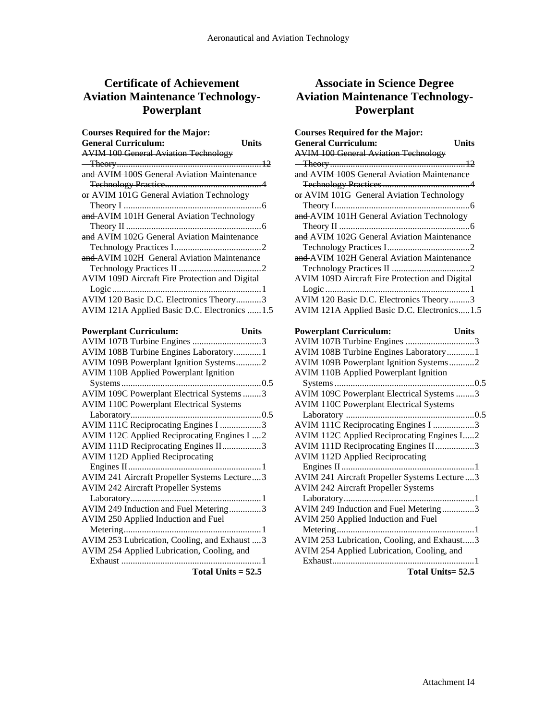## **Certificate of Achievement Aviation Maintenance Technology-Powerplant**

| <b>Courses Required for the Major:</b><br><b>General Curriculum:</b><br><b>AVIM 100 General Aviation Technology</b> | <b>Units</b> |
|---------------------------------------------------------------------------------------------------------------------|--------------|
| and AVIM 100S General Aviation Maintenance                                                                          |              |
|                                                                                                                     |              |
|                                                                                                                     |              |
| or AVIM 101G General Aviation Technology                                                                            |              |
|                                                                                                                     |              |
| and-AVIM 101H General Aviation Technology                                                                           |              |
|                                                                                                                     |              |
| and AVIM 102G General Aviation Maintenance                                                                          |              |
|                                                                                                                     |              |
| and-AVIM 102H General Aviation Maintenance                                                                          |              |
|                                                                                                                     |              |
| AVIM 109D Aircraft Fire Protection and Digital                                                                      |              |
|                                                                                                                     |              |
| AVIM 120 Basic D.C. Electronics Theory3                                                                             |              |
| AVIM 121A Applied Basic D.C. Electronics  1.5                                                                       |              |
|                                                                                                                     |              |
| <b>Powerplant Curriculum:</b>                                                                                       | <b>Units</b> |
|                                                                                                                     |              |
| AVIM 108B Turbine Engines Laboratory1                                                                               |              |
| AVIM 109B Powerplant Ignition Systems2                                                                              |              |
| <b>AVIM 110B Applied Powerplant Ignition</b>                                                                        |              |
|                                                                                                                     |              |
| AVIM 109C Powerplant Electrical Systems 3                                                                           |              |
| <b>AVIM 110C Powerplant Electrical Systems</b>                                                                      |              |
|                                                                                                                     |              |
| AVIM 111C Reciprocating Engines I 3                                                                                 |              |
| AVIM 112C Applied Reciprocating Engines I  2                                                                        |              |
| AVIM 111D Reciprocating Engines II3                                                                                 |              |
| <b>AVIM 112D Applied Reciprocating</b>                                                                              |              |
|                                                                                                                     |              |
| AVIM 241 Aircraft Propeller Systems Lecture3                                                                        |              |
| <b>AVIM 242 Aircraft Propeller Systems</b>                                                                          |              |
|                                                                                                                     |              |
| AVIM 249 Induction and Fuel Metering3                                                                               |              |
| AVIM 250 Applied Induction and Fuel                                                                                 |              |
|                                                                                                                     |              |
| AVIM 253 Lubrication, Cooling, and Exhaust  3                                                                       |              |
| AVIM 254 Applied Lubrication, Cooling, and                                                                          |              |
|                                                                                                                     |              |
| Total Units = $52.5$                                                                                                |              |
|                                                                                                                     |              |

## **Associate in Science Degree Aviation Maintenance Technology-Powerplant**

| <b>Courses Required for the Major:</b>                       |              |
|--------------------------------------------------------------|--------------|
| <b>General Curriculum:</b>                                   | <b>Units</b> |
| <b>AVIM 100 General Aviation Technology</b>                  |              |
|                                                              |              |
| and AVIM 100S General Aviation Maintenance                   |              |
|                                                              |              |
| or AVIM 101G General Aviation Technology                     |              |
|                                                              |              |
| and-AVIM 101H General Aviation Technology                    |              |
|                                                              |              |
| and AVIM 102G General Aviation Maintenance                   |              |
|                                                              |              |
| and-AVIM 102H General Aviation Maintenance                   |              |
|                                                              |              |
| AVIM 109D Aircraft Fire Protection and Digital               |              |
|                                                              |              |
| AVIM 120 Basic D.C. Electronics Theory3                      |              |
| AVIM 121A Applied Basic D.C. Electronics1.5                  |              |
|                                                              |              |
| <b>Powerplant Curriculum:</b><br>AVIM 107B Turbine Engines 3 | <b>Units</b> |
| AVIM 108B Turbine Engines Laboratory1                        |              |
| AVIM 109B Powerplant Ignition Systems2                       |              |
| <b>AVIM 110B Applied Powerplant Ignition</b>                 |              |
|                                                              |              |
| AVIM 109C Powerplant Electrical Systems 3                    |              |
| <b>AVIM 110C Powerplant Electrical Systems</b>               |              |
|                                                              |              |
| AVIM 111C Reciprocating Engines I 3                          |              |
| AVIM 112C Applied Reciprocating Engines I2                   |              |
| AVIM 111D Reciprocating Engines II3                          |              |
| <b>AVIM 112D Applied Reciprocating</b>                       |              |
|                                                              |              |
| AVIM 241 Aircraft Propeller Systems Lecture3                 |              |
| <b>AVIM 242 Aircraft Propeller Systems</b>                   |              |
|                                                              |              |
| AVIM 249 Induction and Fuel Metering3                        |              |
| AVIM 250 Applied Induction and Fuel                          |              |
|                                                              |              |
| AVIM 253 Lubrication, Cooling, and Exhaust3                  |              |
| AVIM 254 Applied Lubrication, Cooling, and                   |              |

Exhaust..............................................................1

**Total Units= 52.5**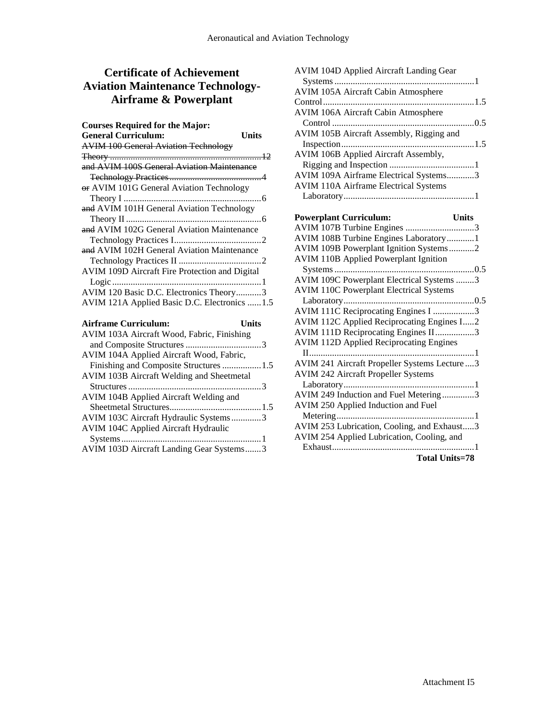# **Certificate of Achievement Aviation Maintenance Technology-Airframe & Powerplant**

**Courses Required for the Major:**

| <b>General Curriculum:</b>                     | Units        |
|------------------------------------------------|--------------|
| <b>AVIM 100 General Aviation Technology</b>    |              |
|                                                |              |
| and AVIM 100S General Aviation Maintenance     |              |
|                                                |              |
| or AVIM 101G General Aviation Technology       |              |
|                                                |              |
| and AVIM 101H General Aviation Technology      |              |
|                                                |              |
| and AVIM 102G General Aviation Maintenance     |              |
|                                                |              |
| and AVIM 102H General Aviation Maintenance     |              |
|                                                |              |
| AVIM 109D Aircraft Fire Protection and Digital |              |
|                                                |              |
| AVIM 120 Basic D.C. Electronics Theory3        |              |
| AVIM 121A Applied Basic D.C. Electronics  1.5  |              |
| Airframe Curriculum:                           | <b>Units</b> |
| AVIM 103A Aircraft Wood, Fabric, Finishing     |              |
|                                                |              |
| AVIM 104A Applied Aircraft Wood, Fabric,       |              |
| Finishing and Composite Structures  1.5        |              |
| AVIM 103B Aircraft Welding and Sheetmetal      |              |
|                                                |              |
| AVIM 104B Applied Aircraft Welding and         |              |
|                                                |              |
|                                                |              |

| AVIM 104C Applied Aircraft Hydraulic     |  |
|------------------------------------------|--|
|                                          |  |
| AVIM 103D Aircraft Landing Gear Systems3 |  |

AVIM 103C Aircraft Hydraulic Systems.............3

| AVIM 104D Applied Aircraft Landing Gear                                                     |       |
|---------------------------------------------------------------------------------------------|-------|
| <b>AVIM 105A Aircraft Cabin Atmosphere</b>                                                  |       |
|                                                                                             |       |
| <b>AVIM 106A Aircraft Cabin Atmosphere</b>                                                  |       |
|                                                                                             |       |
| AVIM 105B Aircraft Assembly, Rigging and                                                    |       |
|                                                                                             |       |
| AVIM 106B Applied Aircraft Assembly,                                                        |       |
| AVIM 109A Airframe Electrical Systems3                                                      |       |
| <b>AVIM 110A Airframe Electrical Systems</b>                                                |       |
|                                                                                             |       |
|                                                                                             |       |
| <b>Powerplant Curriculum:</b>                                                               | Units |
| AVIM 107B Turbine Engines 3                                                                 |       |
| AVIM 108B Turbine Engines Laboratory1                                                       |       |
| AVIM 109B Powerplant Ignition Systems2                                                      |       |
| <b>AVIM 110B Applied Powerplant Ignition</b>                                                |       |
|                                                                                             |       |
| AVIM 109C Powerplant Electrical Systems 3<br><b>AVIM 110C Powerplant Electrical Systems</b> |       |
|                                                                                             |       |
| AVIM 111C Reciprocating Engines I 3                                                         |       |
| AVIM 112C Applied Reciprocating Engines I2                                                  |       |
| AVIM 111D Reciprocating Engines II3                                                         |       |
| <b>AVIM 112D Applied Reciprocating Engines</b>                                              |       |
|                                                                                             |       |
| AVIM 241 Aircraft Propeller Systems Lecture 3                                               |       |
| <b>AVIM 242 Aircraft Propeller Systems</b>                                                  |       |
|                                                                                             |       |
| AVIM 249 Induction and Fuel Metering3                                                       |       |
| AVIM 250 Applied Induction and Fuel                                                         |       |
|                                                                                             |       |
| AVIM 253 Lubrication, Cooling, and Exhaust3                                                 |       |
| AVIM 254 Applied Lubrication, Cooling, and                                                  |       |
| <b>Total Units=78</b>                                                                       |       |
|                                                                                             |       |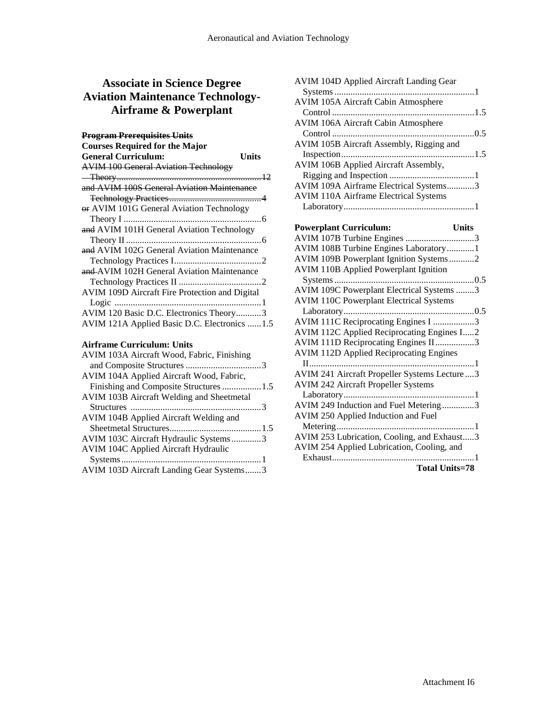### **Associate in Science Degree Aviation Maintenance Technology-Airframe & Powerplant**

| <b>Program Prerequisites Units</b>             |
|------------------------------------------------|
| <b>Courses Required for the Major</b>          |
| <b>General Curriculum:</b><br><b>Units</b>     |
| <b>AVIM 100 General Aviation Technology</b>    |
|                                                |
| and AVIM 100S General Aviation Maintenance     |
|                                                |
| or AVIM 101G General Aviation Technology       |
|                                                |
| and AVIM 101H General Aviation Technology      |
|                                                |
| and AVIM 102G General Aviation Maintenance     |
|                                                |
| and-AVIM 102H General Aviation Maintenance     |
|                                                |
| AVIM 109D Aircraft Fire Protection and Digital |
|                                                |
| AVIM 120 Basic D.C. Electronics Theory3        |
| AVIM 121A Applied Basic D.C. Electronics  1.5  |
| <b>Airframe Curriculum: Units</b>              |
| AVIM 103A Aircraft Wood, Fabric, Finishing     |
|                                                |
| AVIM 104A Applied Aircraft Wood, Fabric,       |
| Finishing and Composite Structures  1.5        |
| AVIM 103B Aircraft Welding and Sheetmetal      |
|                                                |
| AVIM 104B Applied Aircraft Welding and         |
|                                                |
| AVIM 103C Aircraft Hydraulic Systems3          |
| <b>AVIM 104C Applied Aircraft Hydraulic</b>    |
|                                                |
| AVIM 103D Aircraft Landing Gear Systems3       |

| AVIM 104D Applied Aircraft Landing Gear                                               |
|---------------------------------------------------------------------------------------|
|                                                                                       |
| <b>AVIM 105A Aircraft Cabin Atmosphere</b>                                            |
|                                                                                       |
| <b>AVIM 106A Aircraft Cabin Atmosphere</b>                                            |
|                                                                                       |
| AVIM 105B Aircraft Assembly, Rigging and                                              |
|                                                                                       |
| AVIM 106B Applied Aircraft Assembly,                                                  |
|                                                                                       |
| AVIM 109A Airframe Electrical Systems3                                                |
| <b>AVIM 110A Airframe Electrical Systems</b>                                          |
|                                                                                       |
|                                                                                       |
| <b>Powerplant Curriculum:</b><br><b>Units</b>                                         |
| AVIM 107B Turbine Engines 3                                                           |
| AVIM 108B Turbine Engines Laboratory1                                                 |
|                                                                                       |
| AVIM 109B Powerplant Ignition Systems2                                                |
|                                                                                       |
| <b>AVIM 110B Applied Powerplant Ignition</b>                                          |
|                                                                                       |
| AVIM 109C Powerplant Electrical Systems 3                                             |
| <b>AVIM 110C Powerplant Electrical Systems</b>                                        |
|                                                                                       |
| AVIM 111C Reciprocating Engines I 3                                                   |
| AVIM 112C Applied Reciprocating Engines I2                                            |
| AVIM 111D Reciprocating Engines II3<br><b>AVIM 112D Applied Reciprocating Engines</b> |
|                                                                                       |
| AVIM 241 Aircraft Propeller Systems Lecture3                                          |
| <b>AVIM 242 Aircraft Propeller Systems</b>                                            |
|                                                                                       |
| AVIM 249 Induction and Fuel Metering3                                                 |

Metering............................................................1 AVIM 253 Lubrication, Cooling, and Exhaust.....3 AVIM 254 Applied Lubrication, Cooling, and Exhaust..............................................................1

**Total Units=78**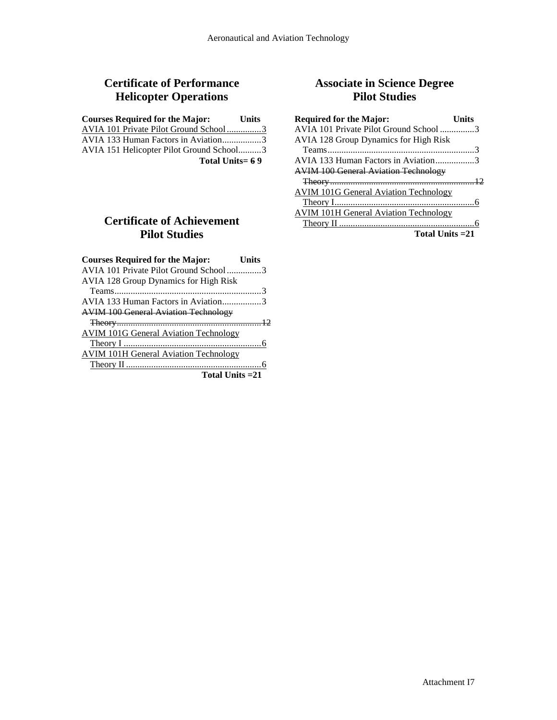### **Certificate of Performance Helicopter Operations**

| <b>Courses Required for the Major:</b><br><b>Units</b> |  |  |
|--------------------------------------------------------|--|--|
| AVIA 101 Private Pilot Ground School3                  |  |  |
| AVIA 133 Human Factors in Aviation3                    |  |  |
| AVIA 151 Helicopter Pilot Ground School3               |  |  |
| Total Units = 69                                       |  |  |

## **Certificate of Achievement Pilot Studies**

| <b>Courses Required for the Major:</b>       | Units |
|----------------------------------------------|-------|
| AVIA 101 Private Pilot Ground School3        |       |
| <b>AVIA 128 Group Dynamics for High Risk</b> |       |
|                                              |       |
| AVIA 133 Human Factors in Aviation3          |       |
| <b>AVIM 100 General Aviation Technology</b>  |       |
|                                              |       |
| <b>AVIM 101G General Aviation Technology</b> |       |
|                                              |       |
| <b>AVIM 101H General Aviation Technology</b> |       |
|                                              |       |
|                                              |       |

**Total Units =21**

### **Associate in Science Degree Pilot Studies**

| <b>Required for the Major:</b>               | Units |
|----------------------------------------------|-------|
| AVIA 101 Private Pilot Ground School 3       |       |
| <b>AVIA 128 Group Dynamics for High Risk</b> |       |
|                                              |       |
| AVIA 133 Human Factors in Aviation3          |       |
| <b>AVIM 100 General Aviation Technology</b>  |       |
|                                              |       |
|                                              |       |
| <b>AVIM 101G General Aviation Technology</b> |       |
|                                              |       |
| <b>AVIM 101H General Aviation Technology</b> |       |
|                                              |       |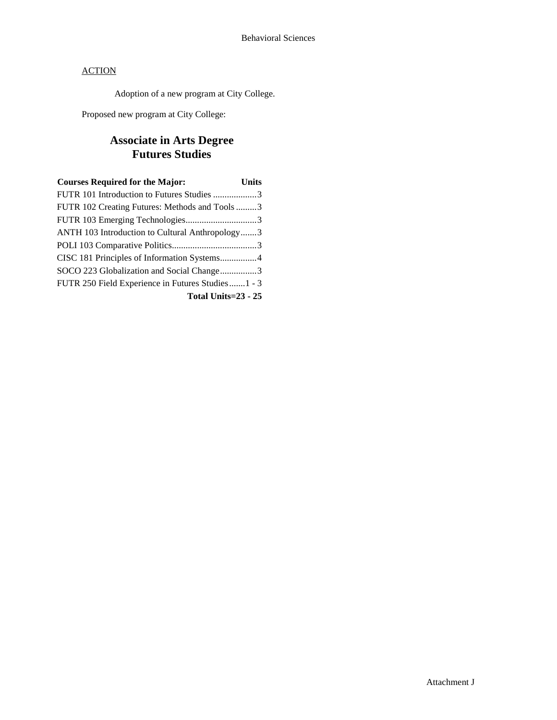Adoption of a new program at City College.

Proposed new program at City College:

# **Associate in Arts Degree Futures Studies**

| <b>Courses Required for the Major:</b>            | <b>Units</b> |
|---------------------------------------------------|--------------|
| FUTR 101 Introduction to Futures Studies 3        |              |
| FUTR 102 Creating Futures: Methods and Tools3     |              |
|                                                   |              |
| ANTH 103 Introduction to Cultural Anthropology3   |              |
|                                                   |              |
| CISC 181 Principles of Information Systems4       |              |
| SOCO 223 Globalization and Social Change3         |              |
| FUTR 250 Field Experience in Futures Studies1 - 3 |              |
| Total Units= $23 - 25$                            |              |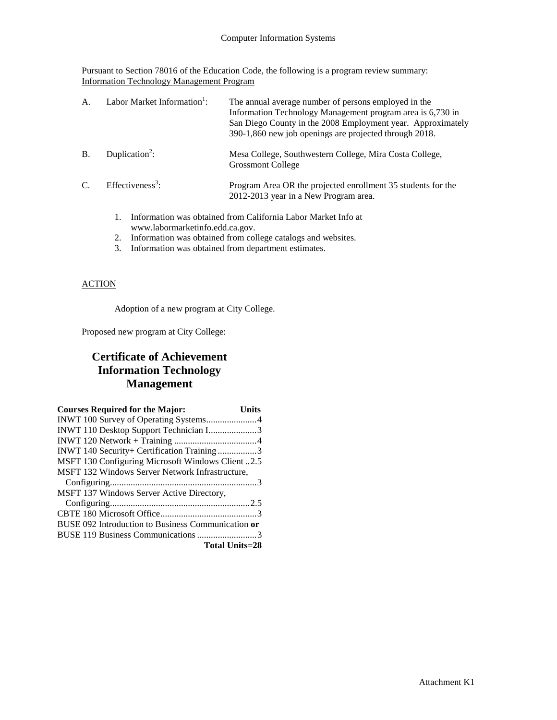Pursuant to Section 78016 of the Education Code, the following is a program review summary: Information Technology Management Program

| $\mathbf{A}$                | Labor Market Information <sup>1</sup> : | The annual average number of persons employed in the<br>Information Technology Management program area is 6,730 in<br>San Diego County in the 2008 Employment year. Approximately<br>390-1,860 new job openings are projected through 2018. |
|-----------------------------|-----------------------------------------|---------------------------------------------------------------------------------------------------------------------------------------------------------------------------------------------------------------------------------------------|
| $\mathbf{B}$                | Duplication <sup>2</sup> :              | Mesa College, Southwestern College, Mira Costa College,<br><b>Grossmont College</b>                                                                                                                                                         |
| $\mathcal{C}_{\mathcal{C}}$ | Effectiveness <sup>3</sup> :            | Program Area OR the projected enrollment 35 students for the<br>2012-2013 year in a New Program area.                                                                                                                                       |
|                             |                                         | Information was obtained from California Labor Market Info at                                                                                                                                                                               |

- www.labormarketinfo.edd.ca.gov.
- 2. Information was obtained from college catalogs and websites.
- 3. Information was obtained from department estimates.

### **ACTION**

Adoption of a new program at City College.

Proposed new program at City College:

# **Certificate of Achievement Information Technology Management**

| <b>Courses Required for the Major:</b>             | Units |
|----------------------------------------------------|-------|
|                                                    |       |
| INWT 110 Desktop Support Technician I3             |       |
|                                                    |       |
| INWT 140 Security+ Certification Training 3        |       |
| MSFT 130 Configuring Microsoft Windows Client2.5   |       |
| MSFT 132 Windows Server Network Infrastructure,    |       |
|                                                    |       |
| MSFT 137 Windows Server Active Directory,          |       |
|                                                    |       |
|                                                    |       |
| BUSE 092 Introduction to Business Communication or |       |
| BUSE 119 Business Communications 3                 |       |
| <b>Total Units=28</b>                              |       |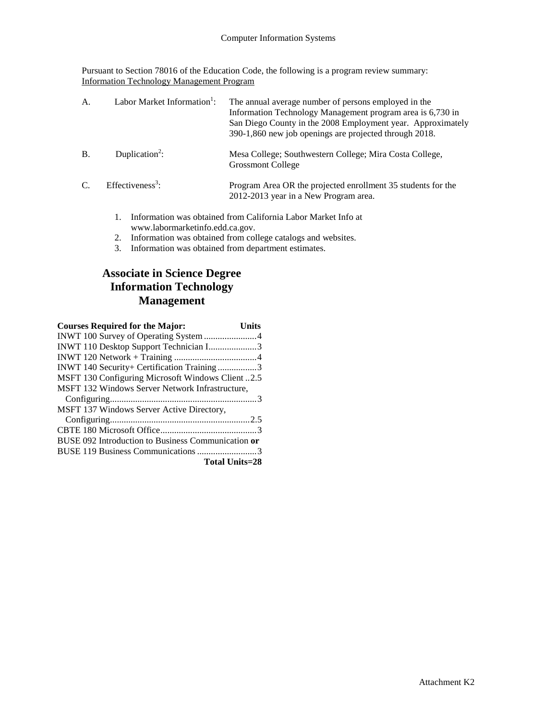Pursuant to Section 78016 of the Education Code, the following is a program review summary: Information Technology Management Program

| A.            | Labor Market Information <sup>1</sup> : | The annual average number of persons employed in the<br>Information Technology Management program area is 6,730 in<br>San Diego County in the 2008 Employment year. Approximately<br>390-1,860 new job openings are projected through 2018. |
|---------------|-----------------------------------------|---------------------------------------------------------------------------------------------------------------------------------------------------------------------------------------------------------------------------------------------|
| <b>B.</b>     | Duplication <sup>2</sup> :              | Mesa College; Southwestern College; Mira Costa College,<br><b>Grossmont College</b>                                                                                                                                                         |
| $\mathcal{C}$ | Effectiveness <sup>3</sup> :            | Program Area OR the projected enrollment 35 students for the<br>2012-2013 year in a New Program area.                                                                                                                                       |
|               |                                         |                                                                                                                                                                                                                                             |

- 1. Information was obtained from California Labor Market Info at www.labormarketinfo.edd.ca.gov.
- 2. Information was obtained from college catalogs and websites.
- 3. Information was obtained from department estimates.

# **Associate in Science Degree Information Technology Management**

| <b>Courses Required for the Major:</b>             | Units |
|----------------------------------------------------|-------|
|                                                    |       |
| INWT 110 Desktop Support Technician I3             |       |
|                                                    |       |
| INWT 140 Security+ Certification Training3         |       |
| MSFT 130 Configuring Microsoft Windows Client 2.5  |       |
| MSFT 132 Windows Server Network Infrastructure,    |       |
|                                                    |       |
| MSFT 137 Windows Server Active Directory,          |       |
|                                                    |       |
|                                                    |       |
| BUSE 092 Introduction to Business Communication or |       |
| BUSE 119 Business Communications 3                 |       |
| Total Units=28                                     |       |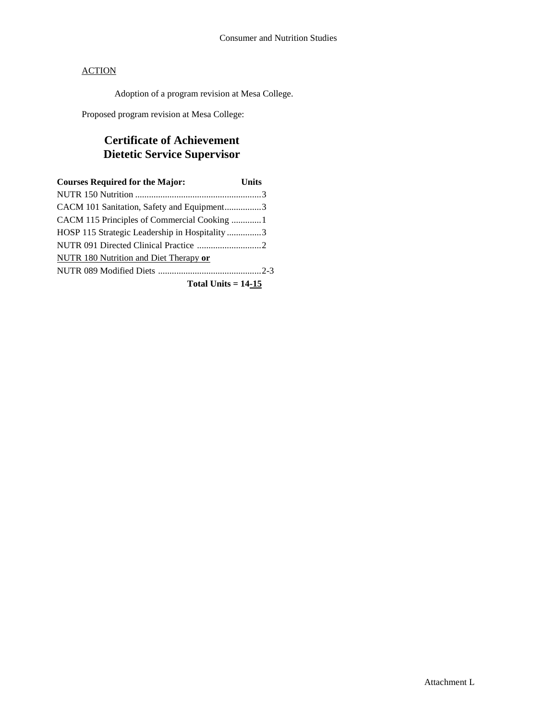Adoption of a program revision at Mesa College.

Proposed program revision at Mesa College:

# **Certificate of Achievement Dietetic Service Supervisor**

| <b>Courses Required for the Major:</b>        | Units |
|-----------------------------------------------|-------|
|                                               |       |
| CACM 101 Sanitation, Safety and Equipment3    |       |
| CACM 115 Principles of Commercial Cooking  1  |       |
| HOSP 115 Strategic Leadership in Hospitality3 |       |
|                                               |       |
| NUTR 180 Nutrition and Diet Therapy or        |       |
|                                               |       |
| Total Units $= 14-15$                         |       |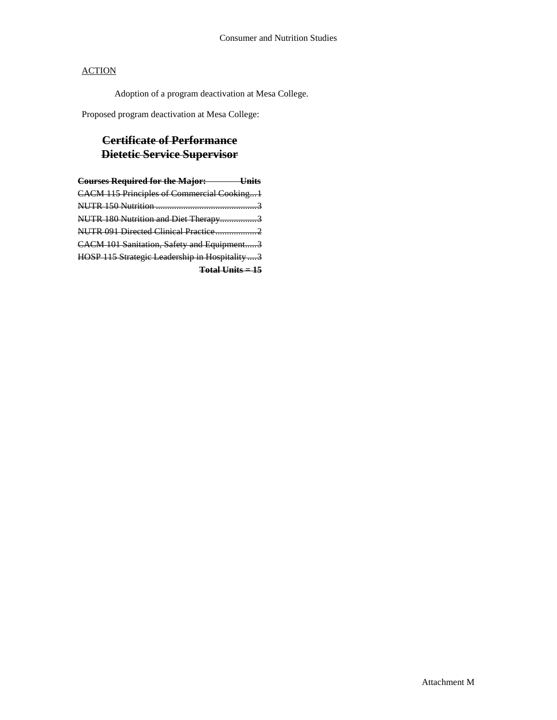Adoption of a program deactivation at Mesa College.

Proposed program deactivation at Mesa College:

# **Certificate of Performance Dietetic Service Supervisor**

| <b>Courses Required for the Major:</b> Units      |  |
|---------------------------------------------------|--|
| <b>CACM 115 Principles of Commercial Cooking1</b> |  |
|                                                   |  |
| NUTR 180 Nutrition and Diet Therapy3              |  |
| NUTR 091 Directed Clinical Practice2              |  |
| CACM 101 Sanitation, Safety and Equipment3        |  |
| HOSP 115 Strategic Leadership in Hospitality  3   |  |
| $Total Units = 15$                                |  |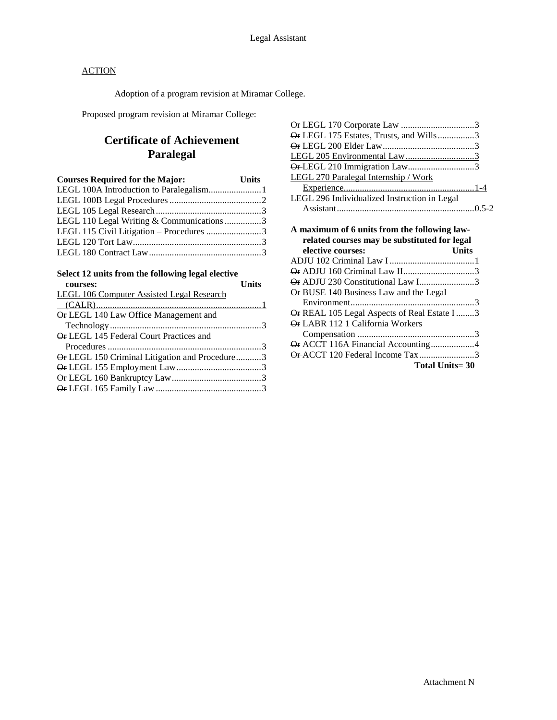Adoption of a program revision at Miramar College.

Proposed program revision at Miramar College:

# **Certificate of Achievement Paralegal**

| <b>Courses Required for the Major:</b><br><b>Units</b> |  |
|--------------------------------------------------------|--|
|                                                        |  |
|                                                        |  |
|                                                        |  |
| LEGL 110 Legal Writing & Communications3               |  |
|                                                        |  |
|                                                        |  |
|                                                        |  |

### **Select 12 units from the following legal elective courses: Units**

| LEGL 106 Computer Assisted Legal Research      |  |
|------------------------------------------------|--|
|                                                |  |
| Or LEGL 140 Law Office Management and          |  |
|                                                |  |
| Or LEGL 145 Federal Court Practices and        |  |
|                                                |  |
| Or LEGL 150 Criminal Litigation and Procedure3 |  |
|                                                |  |
|                                                |  |
|                                                |  |
|                                                |  |

| Or LEGL 175 Estates, Trusts, and Wills3      |
|----------------------------------------------|
|                                              |
| LEGL 205 Environmental Law 3                 |
|                                              |
| LEGL 270 Paralegal Internship / Work         |
|                                              |
| LEGL 296 Individualized Instruction in Legal |
|                                              |
|                                              |
| A maximum of 6 units from the following law- |
| related courses may be substituted for legal |
|                                              |
| elective courses:<br><b>Units</b>            |
|                                              |
|                                              |
| <b>Or ADJU 230 Constitutional Law I3</b>     |
| Or BUSE 140 Business Law and the Legal       |
|                                              |
| Or REAL 105 Legal Aspects of Real Estate I3  |
| <del>Or</del> LABR 112 1 California Workers  |
|                                              |
| Or ACCT 116A Financial Accounting4           |
| Or ACCT 120 Federal Income Tax3              |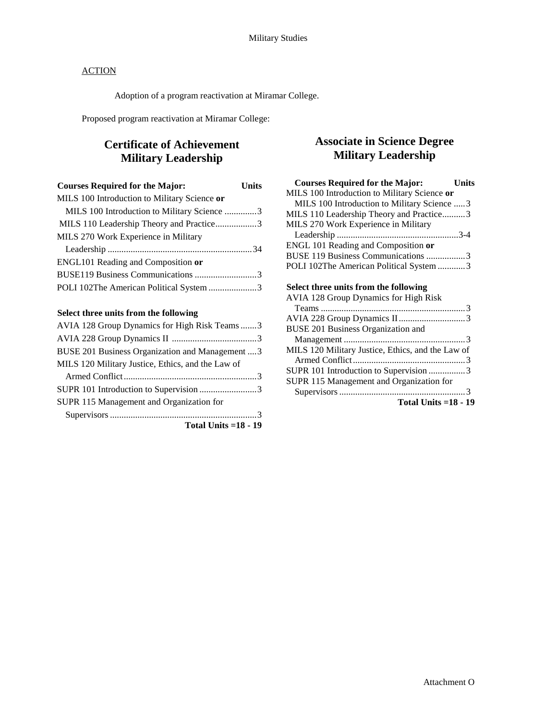Adoption of a program reactivation at Miramar College.

Proposed program reactivation at Miramar College:

# **Certificate of Achievement Military Leadership**

| <b>Courses Required for the Major:</b>       | <b>Units</b> |
|----------------------------------------------|--------------|
| MILS 100 Introduction to Military Science or |              |
| MILS 100 Introduction to Military Science 3  |              |
| MILS 110 Leadership Theory and Practice3     |              |
| MILS 270 Work Experience in Military         |              |
|                                              |              |
| ENGL101 Reading and Composition or           |              |
|                                              |              |
| POLI 102The American Political System 3      |              |

### **Select three units from the following**

| Total Units $=18 - 19$                            |
|---------------------------------------------------|
|                                                   |
| SUPR 115 Management and Organization for          |
| SUPR 101 Introduction to Supervision 3            |
|                                                   |
| MILS 120 Military Justice, Ethics, and the Law of |
| BUSE 201 Business Organization and Management  3  |
|                                                   |
| AVIA 128 Group Dynamics for High Risk Teams 3     |

## **Associate in Science Degree Military Leadership**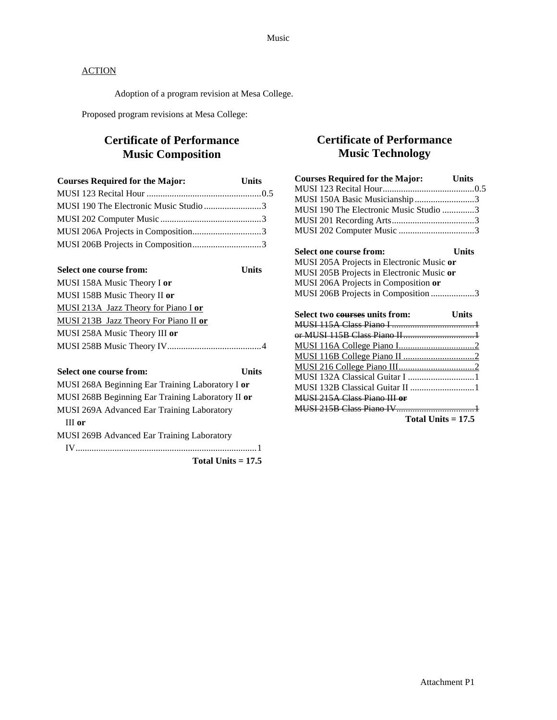Adoption of a program revision at Mesa College.

Proposed program revisions at Mesa College:

# **Certificate of Performance Music Composition**

| <b>Courses Required for the Major:</b> | <b>Units</b> |
|----------------------------------------|--------------|
|                                        |              |
| MUSI 190 The Electronic Music Studio 3 |              |
|                                        |              |
|                                        |              |
|                                        |              |
|                                        |              |
| Select one course from:                |              |

| Select one course from:                      | Units |
|----------------------------------------------|-------|
| MUSI 158A Music Theory I or                  |       |
| MUSI 158B Music Theory II or                 |       |
| MUSI 213A Jazz Theory for Piano I or         |       |
| <b>MUSI 213B</b> Jazz Theory For Piano II or |       |
| MUSI 258A Music Theory III or                |       |
|                                              |       |
|                                              |       |

| <b>Select one course from:</b>                    | <b>Units</b> |
|---------------------------------------------------|--------------|
| MUSI 268A Beginning Ear Training Laboratory I or  |              |
| MUSI 268B Beginning Ear Training Laboratory II or |              |
| <b>MUSI 269A Advanced Ear Training Laboratory</b> |              |
| III or                                            |              |
| MUSI 269B Advanced Ear Training Laboratory        |              |
|                                                   |              |
| Total Units $= 17.5$                              |              |

# **Certificate of Performance Music Technology**

| <b>Courses Required for the Major:</b> Units |              |
|----------------------------------------------|--------------|
|                                              |              |
| MUSI 150A Basic Musicianship3                |              |
| MUSI 190 The Electronic Music Studio 3       |              |
|                                              |              |
|                                              |              |
| <b>Select one course from:</b>               | Units        |
| MUSI 205A Projects in Electronic Music or    |              |
| MUSI 205B Projects in Electronic Music or    |              |
| MUSI 206A Projects in Composition or         |              |
| MUSI 206B Projects in Composition 3          |              |
| Select two courses units from:               | <b>Units</b> |
|                                              |              |
|                                              |              |
|                                              |              |
|                                              |              |
|                                              |              |
|                                              |              |
|                                              |              |
| MUSI 215A Class Piano III or                 |              |
|                                              |              |
| Total Units $= 17.5$                         |              |